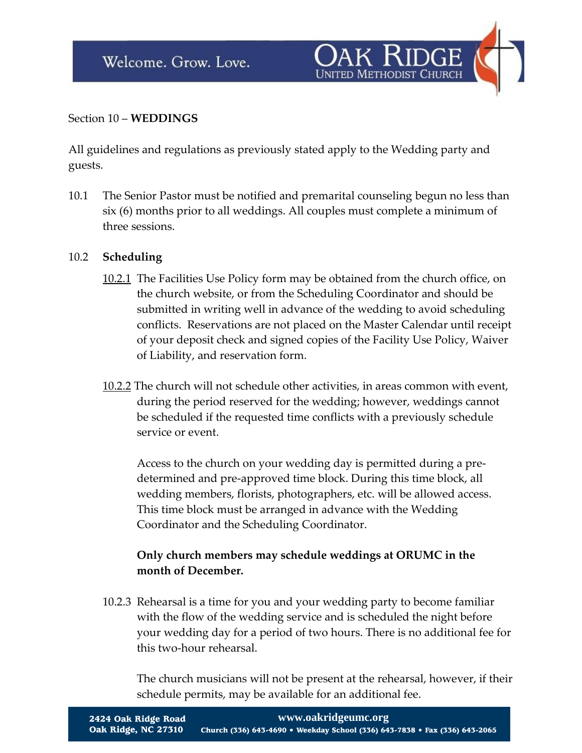

# Section 10 – **WEDDINGS**

All guidelines and regulations as previously stated apply to the Wedding party and guests.

10.1 The Senior Pastor must be notified and premarital counseling begun no less than six (6) months prior to all weddings. All couples must complete a minimum of three sessions.

### 10.2 **Scheduling**

- 10.2.1 The Facilities Use Policy form may be obtained from the church office, on the church website, or from the Scheduling Coordinator and should be submitted in writing well in advance of the wedding to avoid scheduling conflicts. Reservations are not placed on the Master Calendar until receipt of your deposit check and signed copies of the Facility Use Policy, Waiver of Liability, and reservation form.
- 10.2.2 The church will not schedule other activities, in areas common with event, during the period reserved for the wedding; however, weddings cannot be scheduled if the requested time conflicts with a previously schedule service or event.

Access to the church on your wedding day is permitted during a predetermined and pre-approved time block. During this time block, all wedding members, florists, photographers, etc. will be allowed access. This time block must be arranged in advance with the Wedding Coordinator and the Scheduling Coordinator.

# **Only church members may schedule weddings at ORUMC in the month of December.**

10.2.3 Rehearsal is a time for you and your wedding party to become familiar with the flow of the wedding service and is scheduled the night before your wedding day for a period of two hours. There is no additional fee for this two-hour rehearsal.

The church musicians will not be present at the rehearsal, however, if their schedule permits, may be available for an additional fee.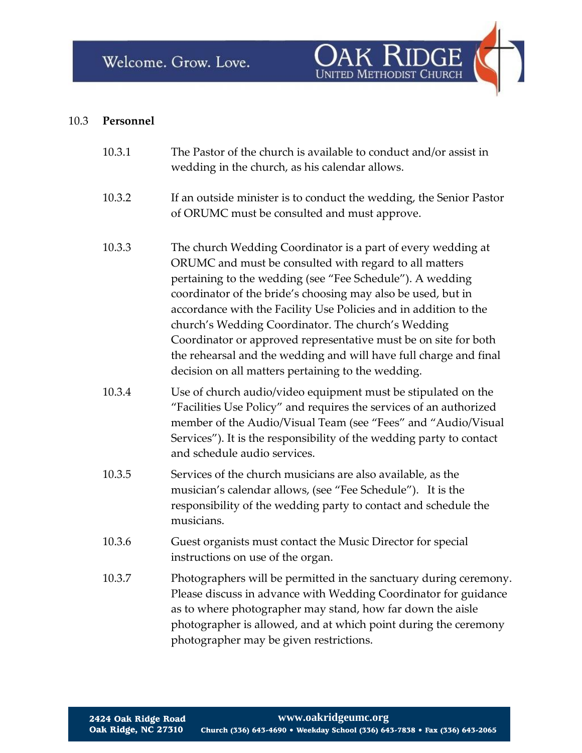

# 10.3 **Personnel**

| The Pastor of the church is available to conduct and/or assist in<br>wedding in the church, as his calendar allows.                                                                                                                                                                                                                                                                                                                                                                                                                                                         |
|-----------------------------------------------------------------------------------------------------------------------------------------------------------------------------------------------------------------------------------------------------------------------------------------------------------------------------------------------------------------------------------------------------------------------------------------------------------------------------------------------------------------------------------------------------------------------------|
| If an outside minister is to conduct the wedding, the Senior Pastor<br>of ORUMC must be consulted and must approve.                                                                                                                                                                                                                                                                                                                                                                                                                                                         |
| The church Wedding Coordinator is a part of every wedding at<br>ORUMC and must be consulted with regard to all matters<br>pertaining to the wedding (see "Fee Schedule"). A wedding<br>coordinator of the bride's choosing may also be used, but in<br>accordance with the Facility Use Policies and in addition to the<br>church's Wedding Coordinator. The church's Wedding<br>Coordinator or approved representative must be on site for both<br>the rehearsal and the wedding and will have full charge and final<br>decision on all matters pertaining to the wedding. |
| Use of church audio/video equipment must be stipulated on the<br>"Facilities Use Policy" and requires the services of an authorized<br>member of the Audio/Visual Team (see "Fees" and "Audio/Visual<br>Services"). It is the responsibility of the wedding party to contact<br>and schedule audio services.                                                                                                                                                                                                                                                                |
| Services of the church musicians are also available, as the<br>musician's calendar allows, (see "Fee Schedule"). It is the<br>responsibility of the wedding party to contact and schedule the<br>musicians.                                                                                                                                                                                                                                                                                                                                                                 |
| Guest organists must contact the Music Director for special<br>instructions on use of the organ.                                                                                                                                                                                                                                                                                                                                                                                                                                                                            |
| Photographers will be permitted in the sanctuary during ceremony.<br>Please discuss in advance with Wedding Coordinator for guidance<br>as to where photographer may stand, how far down the aisle<br>photographer is allowed, and at which point during the ceremony<br>photographer may be given restrictions.                                                                                                                                                                                                                                                            |
|                                                                                                                                                                                                                                                                                                                                                                                                                                                                                                                                                                             |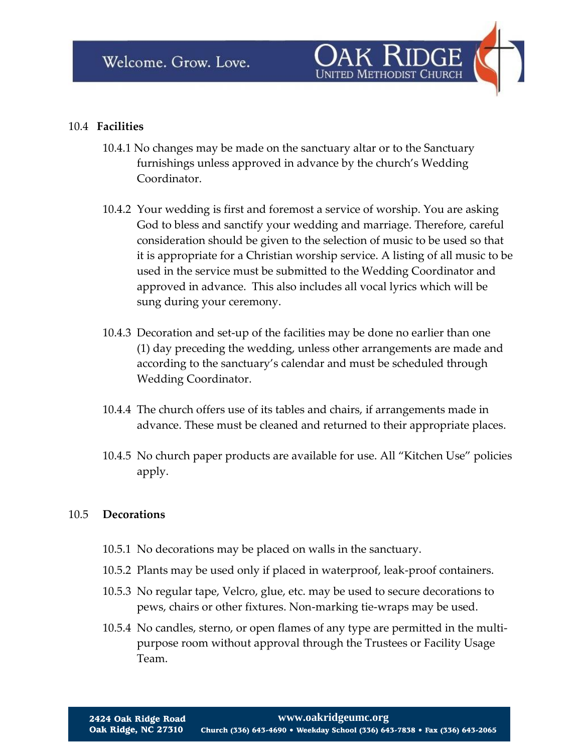

#### 10.4 **Facilities**

- 10.4.1 No changes may be made on the sanctuary altar or to the Sanctuary furnishings unless approved in advance by the church's Wedding Coordinator.
- 10.4.2 Your wedding is first and foremost a service of worship. You are asking God to bless and sanctify your wedding and marriage. Therefore, careful consideration should be given to the selection of music to be used so that it is appropriate for a Christian worship service. A listing of all music to be used in the service must be submitted to the Wedding Coordinator and approved in advance. This also includes all vocal lyrics which will be sung during your ceremony.
- 10.4.3 Decoration and set-up of the facilities may be done no earlier than one (1) day preceding the wedding, unless other arrangements are made and according to the sanctuary's calendar and must be scheduled through Wedding Coordinator.
- 10.4.4 The church offers use of its tables and chairs, if arrangements made in advance. These must be cleaned and returned to their appropriate places.
- 10.4.5 No church paper products are available for use. All "Kitchen Use" policies apply.

#### 10.5 **Decorations**

- 10.5.1 No decorations may be placed on walls in the sanctuary.
- 10.5.2 Plants may be used only if placed in waterproof, leak-proof containers.
- 10.5.3 No regular tape, Velcro, glue, etc. may be used to secure decorations to pews, chairs or other fixtures. Non-marking tie-wraps may be used.
- 10.5.4 No candles, sterno, or open flames of any type are permitted in the multipurpose room without approval through the Trustees or Facility Usage Team.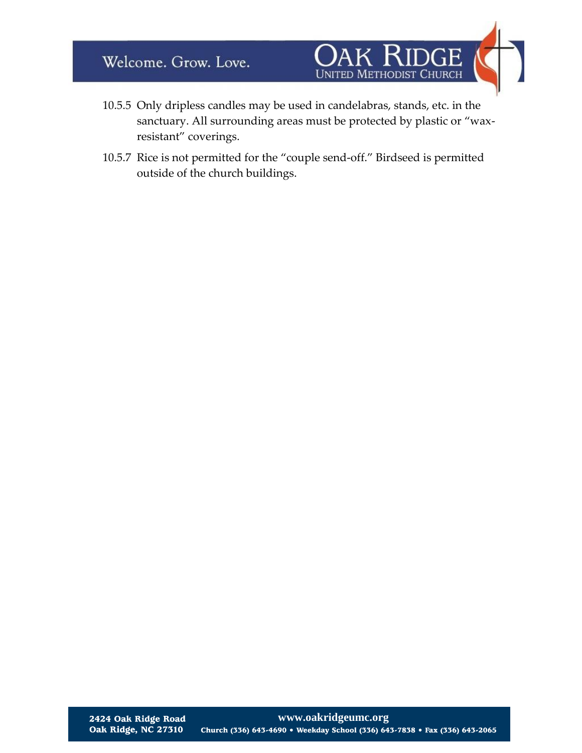

- 10.5.5 Only dripless candles may be used in candelabras, stands, etc. in the sanctuary. All surrounding areas must be protected by plastic or "waxresistant" coverings.
- 10.5.7 Rice is not permitted for the "couple send-off." Birdseed is permitted outside of the church buildings.